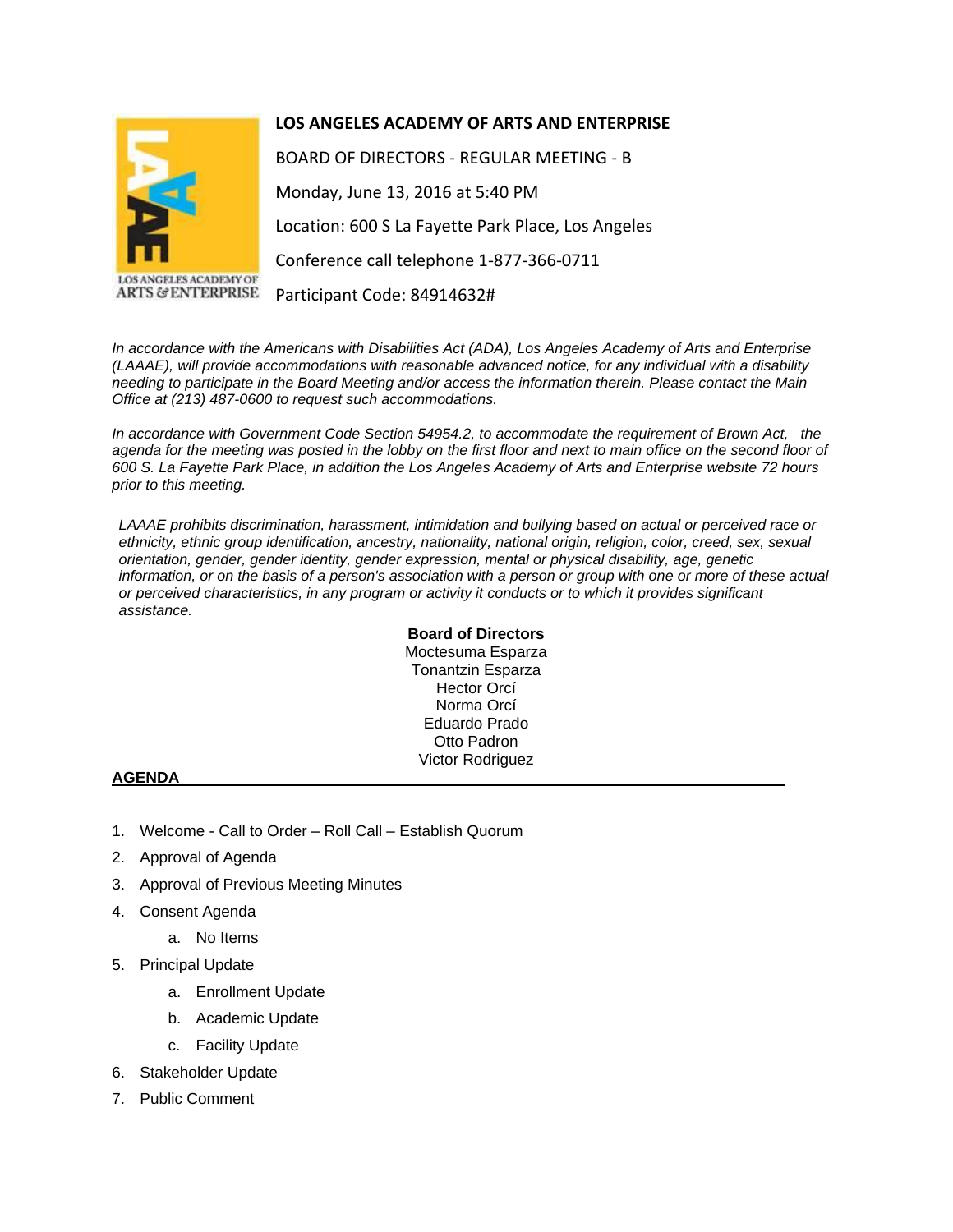



**ANGELES ACADEMY OF ARTS & ENTERPRISE** 

BOARD OF DIRECTORS - REGULAR MEETING - B Monday, June 13, 2016 at 5:40 PM Location: 600 S La Fayette Park Place, Los Angeles Conference call telephone 1-877-366-0711 Participant Code: 84914632#

*In accordance with the Americans with Disabilities Act (ADA), Los Angeles Academy of Arts and Enterprise (LAAAE), will provide accommodations with reasonable advanced notice, for any individual with a disability needing to participate in the Board Meeting and/or access the information therein. Please contact the Main Office at (213) 487-0600 to request such accommodations.*

*In accordance with Government Code Section 54954.2, to accommodate the requirement of Brown Act, the* agenda for the meeting was posted in the lobby on the first floor and next to main office on the second floor of 600 S. La Fayette Park Place, in addition the Los Angeles Academy of Arts and Enterprise website 72 hours *prior to this meeting.*

*LAAAE prohibits discrimination, harassment, intimidation and bullying based on actual or perceived race or ethnicity, ethnic group identification, ancestry, nationality, national origin, religion, color, creed, sex, sexual orientation, gender, gender identity, gender expression, mental or physical disability, age, genetic*  information, or on the basis of a person's association with a person or group with one or more of these actual *or perceived characteristics, in any program or activity it conducts or to which it provides significant assistance.*

> **Board of Directors** Moctesuma Esparza Tonantzin Esparza Hector Orcí Norma Orcí Eduardo Prado Otto Padron Victor Rodriguez

## **AGENDA\_\_\_\_\_\_\_\_\_\_\_\_\_\_\_\_\_\_\_\_\_\_\_\_\_\_\_\_\_\_\_\_\_\_\_\_\_\_\_\_\_\_\_\_\_\_\_\_\_\_\_\_\_\_\_\_\_\_\_\_\_\_\_\_\_\_\_\_\_\_**

- 1. Welcome Call to Order Roll Call Establish Quorum
- 2. Approval of Agenda
- 3. Approval of Previous Meeting Minutes
- 4. Consent Agenda
	- a. No Items
- 5. Principal Update
	- a. Enrollment Update
	- b. Academic Update
	- c. Facility Update
- 6. Stakeholder Update
- 7. Public Comment